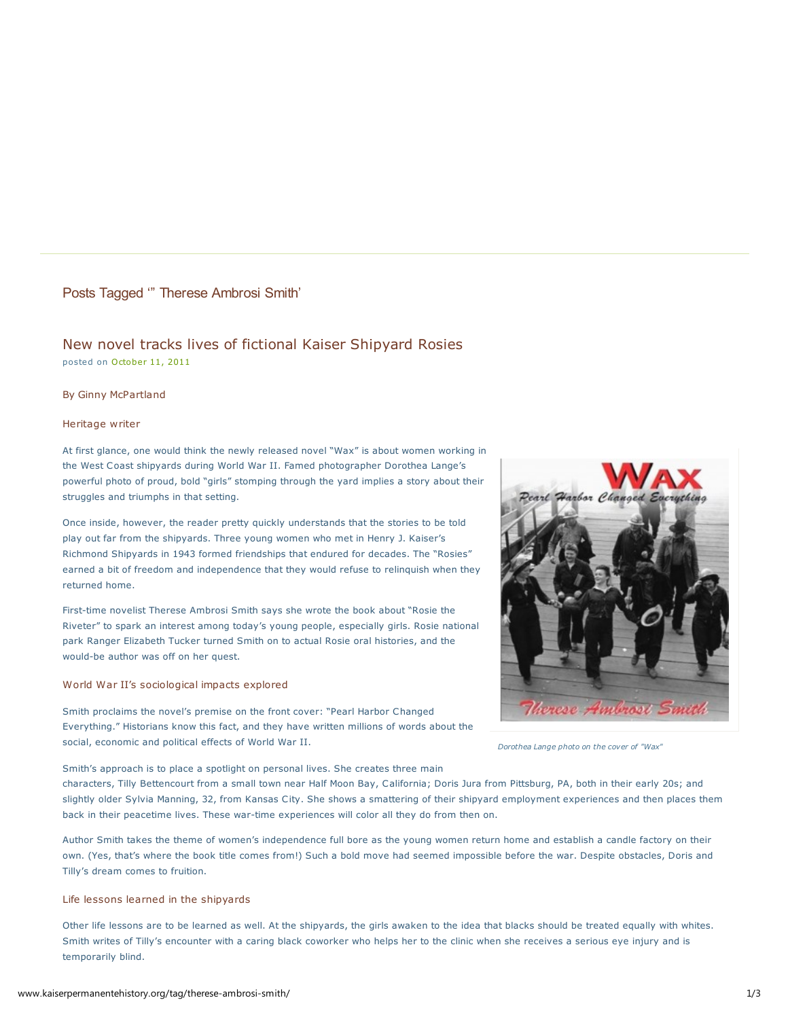# Posts Tagged '" Therese Ambrosi Smith'

# New novel tracks lives of fictional Kaiser Shipyard Rosies posted on October 11, 2011

By Ginny McPartland

#### Heritage writer

At first glance, one would think the newly released novel "Wax" is about women working in the West Coast shipyards during World War II. Famed photographer Dorothea Lange's powerful photo of proud, bold "girls" stomping through the yard implies a story about their struggles and triumphs in that setting.

Once inside, however, the reader pretty quickly understands that the stories to be told play out far from the shipyards. Three young women who met in Henry J. Kaiser's Richmond Shipyards in 1943 formed friendships that endured for decades. The "Rosies" earned a bit of freedom and independence that they would refuse to relinquish when they returned home.

First-time novelist Therese Ambrosi Smith says she wrote the book about "Rosie the Riveter" to spark an interest among today's young people, especially girls. Rosie national park Ranger Elizabeth Tucker turned Smith on to actual Rosie oral histories, and the would-be author was off on her quest.

### World War II's sociological impacts explored

Smith proclaims the novel's premise on the front cover: "Pearl Harbor Changed Everything." Historians know this fact, and they have written millions of words about the social, economic and political effects of World War II.



Dorothea Lange photo on the cover of "Wax"

Smith's approach is to place a spotlight on personal lives. She creates three main

characters, Tilly Bettencourt from a small town near Half Moon Bay, California; Doris Jura from Pittsburg, PA, both in their early 20s; and slightly older Sylvia Manning, 32, from Kansas City. She shows a smattering of their shipyard employment experiences and then places them back in their peacetime lives. These war-time experiences will color all they do from then on.

Author Smith takes the theme of women's independence full bore as the young women return home and establish a candle factory on their own. (Yes, that's where the book title comes from!) Such a bold move had seemed impossible before the war. Despite obstacles, Doris and Tilly's dream comes to fruition.

#### Life lessons learned in the shipyards

Other life lessons are to be learned as well. At the shipyards, the girls awaken to the idea that blacks should be treated equally with whites. Smith writes of Tilly's encounter with a caring black coworker who helps her to the clinic when she receives a serious eye injury and is temporarily blind.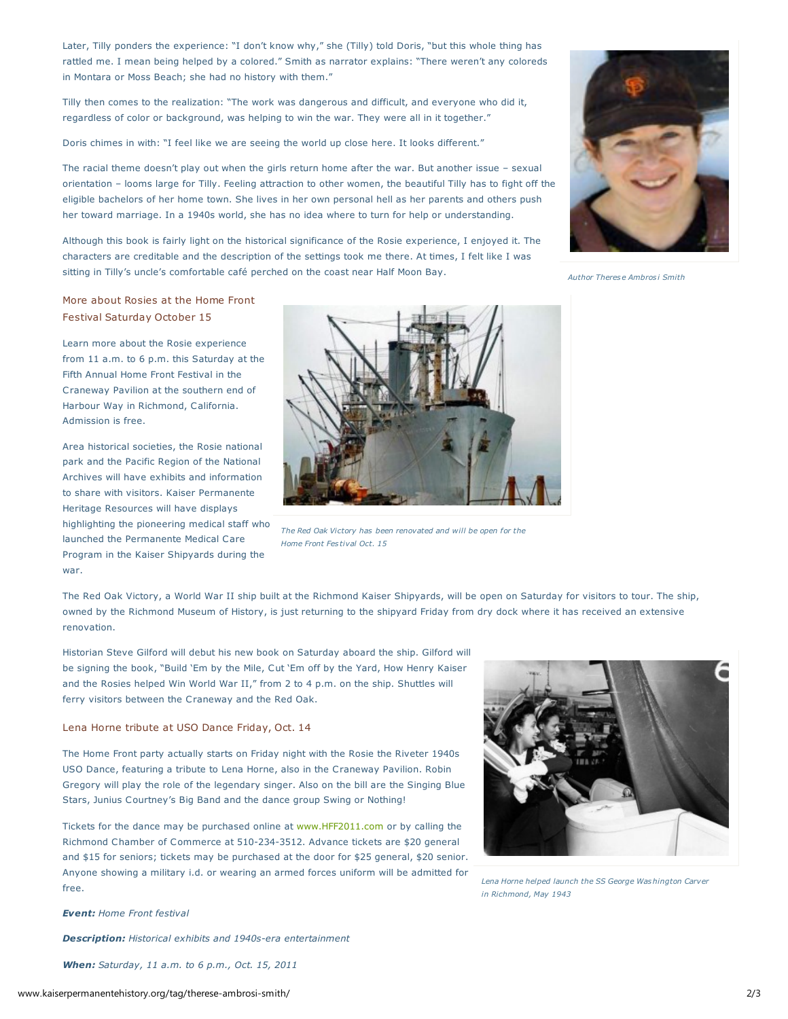Later, Tilly ponders the experience: "I don't know why," she (Tilly) told Doris, "but this whole thing has rattled me. I mean being helped by a colored." Smith as narrator explains: "There weren't any coloreds in Montara or Moss Beach; she had no history with them."

Tilly then comes to the realization: "The work was dangerous and difficult, and everyone who did it, regardless of color or background, was helping to win the war. They were all in it together."

Doris chimes in with: "I feel like we are seeing the world up close here. It looks different."

The racial theme doesn't play out when the girls return home after the war. But another issue – sexual orientation – looms large for Tilly. Feeling attraction to other women, the beautiful Tilly has to fight off the eligible bachelors of her home town. She lives in her own personal hell as her parents and others push her toward marriage. In a 1940s world, she has no idea where to turn for help or understanding.

Although this book is fairly light on the historical significance of the Rosie experience, I enjoyed it. The characters are creditable and the description of the settings took me there. At times, I felt like I was sitting in Tilly's uncle's comfortable café perched on the coast near Half Moon Bay.



Author Therese Ambros i Smith

More about Rosies at the Home Front Festival Saturday October 15

Learn more about the Rosie experience from 11 a.m. to 6 p.m. this Saturday at the Fifth Annual Home Front Festival in the Craneway Pavilion at the southern end of Harbour Way in Richmond, California. Admission is free.

Area historical societies, the Rosie national park and the Pacific Region of the National Archives will have exhibits and information to share with visitors. Kaiser Permanente Heritage Resources will have displays highlighting the pioneering medical staff who launched the Permanente Medical Care Program in the Kaiser Shipyards during the war.



The Red Oak Victory has been renovated and will be open for the Home Front Fes tival Oct. 15

The Red Oak Victory, a World War II ship built at the Richmond Kaiser Shipyards, will be open on Saturday for visitors to tour. The ship, owned by the Richmond Museum of History, is just returning to the shipyard Friday from dry dock where it has received an extensive renovation.

Historian Steve Gilford will debut his new book on Saturday aboard the ship. Gilford will be signing the book, "Build 'Em by the Mile, Cut 'Em off by the Yard, How Henry Kaiser and the Rosies helped Win World War II," from 2 to 4 p.m. on the ship. Shuttles will ferry visitors between the Craneway and the Red Oak.

## Lena Horne tribute at USO Dance Friday, Oct. 14

The Home Front party actually starts on Friday night with the Rosie the Riveter 1940s USO Dance, featuring a tribute to Lena Horne, also in the Craneway Pavilion. Robin Gregory will play the role of the legendary singer. Also on the bill are the Singing Blue Stars, Junius Courtney's Big Band and the dance group Swing or Nothing!

Tickets for the dance may be purchased online at www.HFF2011.com or by calling the Richmond Chamber of Commerce at 510-234-3512. Advance tickets are \$20 general and \$15 for seniors; tickets may be purchased at the door for \$25 general, \$20 senior. Anyone showing a military i.d. or wearing an armed forces uniform will be admitted for free.



Lena Horne helped launch the SS George Washington Carver in Richmond, May 1943

Event: Home Front festival

Description: Historical exhibits and 1940s-era entertainment

When: Saturday, 11 a.m. to 6 p.m., Oct. 15, 2011